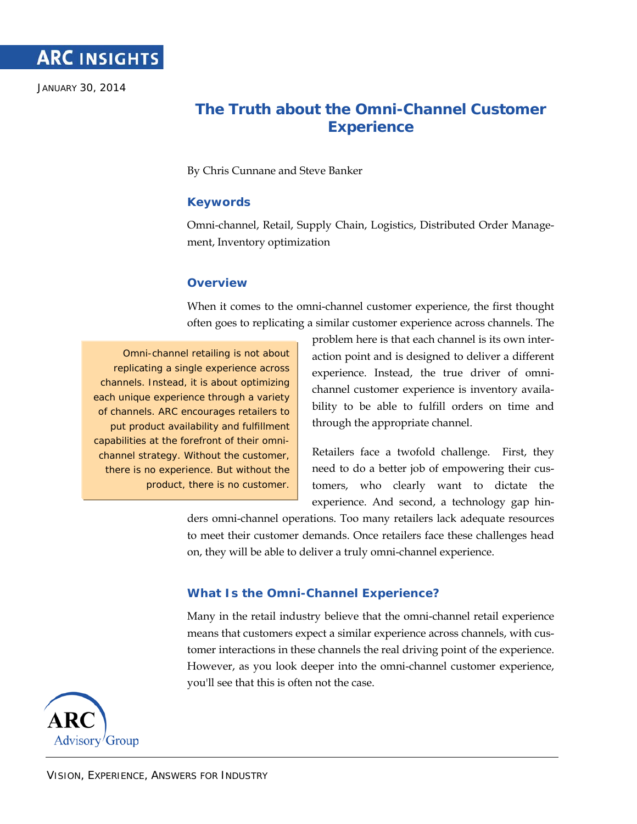

JANUARY 30, 2014

# **The Truth about the Omni-Channel Customer Experience**

By Chris Cunnane and Steve Banker

#### **Keywords**

Omni-channel, Retail, Supply Chain, Logistics, Distributed Order Management, Inventory optimization

#### **Overview**

When it comes to the omni-channel customer experience, the first thought often goes to replicating a similar customer experience across channels. The

Omni-channel retailing is not about replicating a single experience across channels. Instead, it is about optimizing each unique experience through a variety of channels. ARC encourages retailers to put product availability and fulfillment capabilities at the forefront of their omnichannel strategy. Without the customer, there is no experience. But without the product, there is no customer.

problem here is that each channel is its own interaction point and is designed to deliver a different experience. Instead, the true driver of omnichannel customer experience is inventory availability to be able to fulfill orders on time and through the appropriate channel.

Retailers face a twofold challenge. First, they need to do a better job of empowering their customers, who clearly want to dictate the experience. And second, a technology gap hin-

ders omni-channel operations. Too many retailers lack adequate resources to meet their customer demands. Once retailers face these challenges head on, they will be able to deliver a truly omni-channel experience.

### **What Is the Omni-Channel Experience?**

Many in the retail industry believe that the omni-channel retail experience means that customers expect a similar experience across channels, with customer interactions in these channels the real driving point of the experience. However, as you look deeper into the omni-channel customer experience, you'll see that this is often not the case.

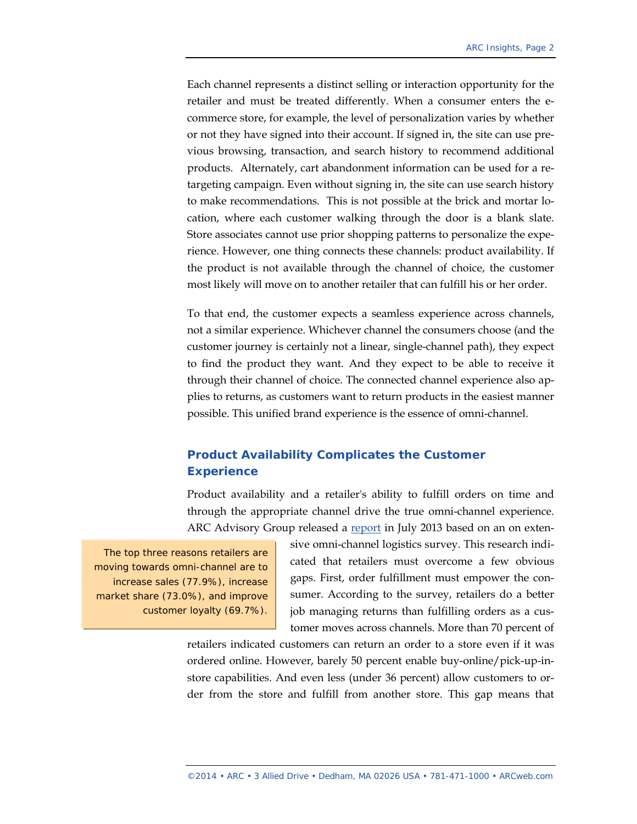Each channel represents a distinct selling or interaction opportunity for the retailer and must be treated differently. When a consumer enters the ecommerce store, for example, the level of personalization varies by whether or not they have signed into their account. If signed in, the site can use previous browsing, transaction, and search history to recommend additional products. Alternately, cart abandonment information can be used for a retargeting campaign. Even without signing in, the site can use search history to make recommendations. This is not possible at the brick and mortar location, where each customer walking through the door is a blank slate. Store associates cannot use prior shopping patterns to personalize the experience. However, one thing connects these channels: product availability. If the product is not available through the channel of choice, the customer most likely will move on to another retailer that can fulfill his or her order.

To that end, the customer expects a seamless experience across channels, not a similar experience. Whichever channel the consumers choose (and the customer journey is certainly not a linear, single-channel path), they expect to find the product they want. And they expect to be able to receive it through their channel of choice. The connected channel experience also applies to returns, as customers want to return products in the easiest manner possible. This unified brand experience is the essence of omni-channel.

## **Product Availability Complicates the Customer Experience**

Product availability and a retailer's ability to fulfill orders on time and through the appropriate channel drive the true omni-channel experience. ARC Advisory Group released a [report](http://www.arcweb.com/myarc/myreports/MyReports2013/Omni-channel%20Logistics.pdf) in July 2013 based on an on exten-

The top three reasons retailers are moving towards omni-channel are to increase sales (77.9%), increase market share (73.0%), and improve customer loyalty (69.7%). sive omni-channel logistics survey. This research indicated that retailers must overcome a few obvious gaps. First, order fulfillment must empower the consumer. According to the survey, retailers do a better job managing returns than fulfilling orders as a customer moves across channels. More than 70 percent of

retailers indicated customers can return an order to a store even if it was ordered online. However, barely 50 percent enable buy-online/pick-up-instore capabilities. And even less (under 36 percent) allow customers to order from the store and fulfill from another store. This gap means that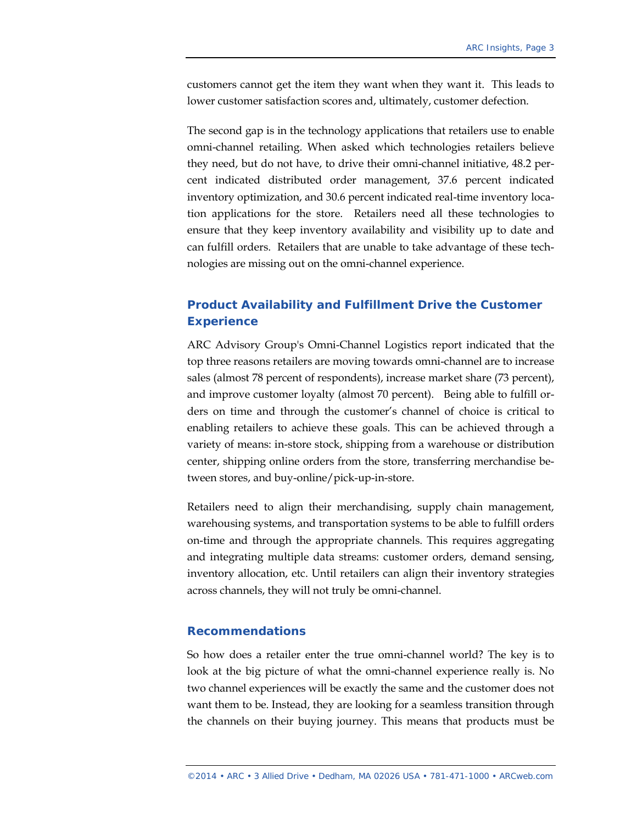customers cannot get the item they want when they want it. This leads to lower customer satisfaction scores and, ultimately, customer defection.

The second gap is in the technology applications that retailers use to enable omni-channel retailing. When asked which technologies retailers believe they need, but do not have, to drive their omni-channel initiative, 48.2 percent indicated distributed order management, 37.6 percent indicated inventory optimization, and 30.6 percent indicated real-time inventory location applications for the store. Retailers need all these technologies to ensure that they keep inventory availability and visibility up to date and can fulfill orders. Retailers that are unable to take advantage of these technologies are missing out on the omni-channel experience.

# **Product Availability and Fulfillment Drive the Customer Experience**

ARC Advisory Group's Omni-Channel Logistics report indicated that the top three reasons retailers are moving towards omni-channel are to increase sales (almost 78 percent of respondents), increase market share (73 percent), and improve customer loyalty (almost 70 percent). Being able to fulfill orders on time and through the customer's channel of choice is critical to enabling retailers to achieve these goals. This can be achieved through a variety of means: in-store stock, shipping from a warehouse or distribution center, shipping online orders from the store, transferring merchandise between stores, and buy-online/pick-up-in-store.

Retailers need to align their merchandising, supply chain management, warehousing systems, and transportation systems to be able to fulfill orders on-time and through the appropriate channels. This requires aggregating and integrating multiple data streams: customer orders, demand sensing, inventory allocation, etc. Until retailers can align their inventory strategies across channels, they will not truly be omni-channel.

#### **Recommendations**

So how does a retailer enter the true omni-channel world? The key is to look at the big picture of what the omni-channel experience really is. No two channel experiences will be exactly the same and the customer does not want them to be. Instead, they are looking for a seamless transition through the channels on their buying journey. This means that products must be